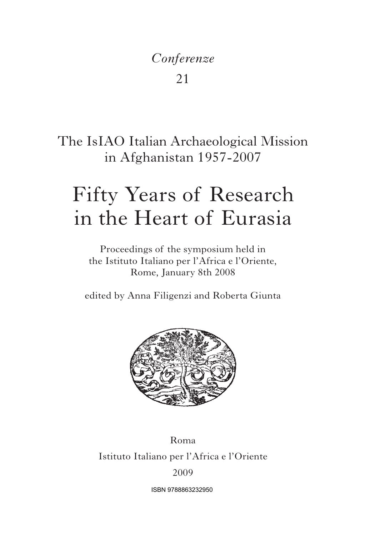## *Conferenze*

21

The IsIAO Italian Archaeological Mission in Afghanistan 1957-2007

# Fifty Years of Research in the Heart of Eurasia

Proceedings of the symposium held in the Istituto Italiano per l'Africa e l'Oriente, Rome, January 8th 2008

edited by Anna Filigenzi and Roberta Giunta



Roma Istituto Italiano per l'Africa e l'Oriente 2009

ISBN 9788863232950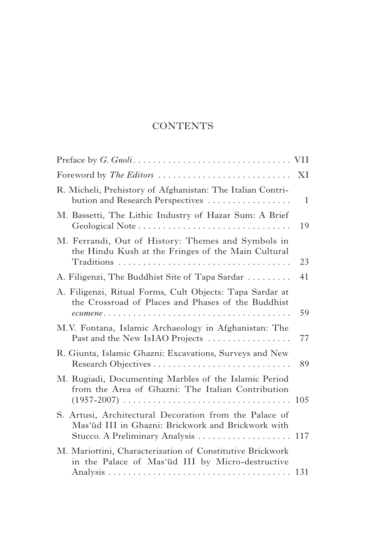### **CONTENTS**

| Foreword by <i>The Editors</i>                                                                                 | XI           |
|----------------------------------------------------------------------------------------------------------------|--------------|
| R. Micheli, Prehistory of Afghanistan: The Italian Contri-<br>bution and Research Perspectives                 | $\mathbf{1}$ |
| M. Bassetti, The Lithic Industry of Hazar Sum: A Brief                                                         | 19           |
| M. Ferrandi, Out of History: Themes and Symbols in<br>the Hindu Kush at the Fringes of the Main Cultural       | 23           |
| A. Filigenzi, The Buddhist Site of Tapa Sardar                                                                 | 41           |
| A. Filigenzi, Ritual Forms, Cult Objects: Tapa Sardar at<br>the Crossroad of Places and Phases of the Buddhist | 59           |
| M.V. Fontana, Islamic Archaeology in Afghanistan: The<br>Past and the New IsIAO Projects                       | 77           |
| R. Giunta, Islamic Ghazni: Excavations, Surveys and New                                                        | 89           |
| M. Rugiadi, Documenting Marbles of the Islamic Period<br>from the Area of Ghazni: The Italian Contribution     | 105          |
| S. Artusi, Architectural Decoration from the Palace of<br>Mas'ūd III in Ghazni: Brickwork and Brickwork with   |              |
| M. Mariottini, Characterization of Constitutive Brickwork<br>in the Palace of Mas'ūd III by Micro-destructive  |              |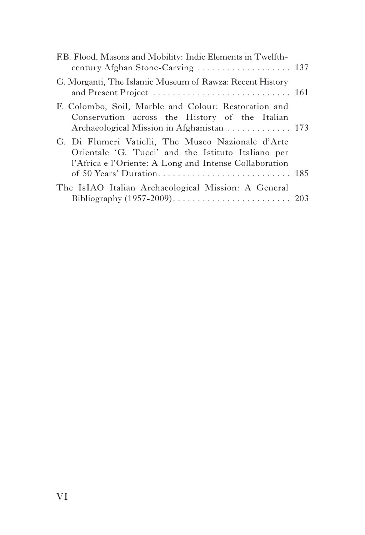| F.B. Flood, Masons and Mobility: Indic Elements in Twelfth-                                                                                                        |  |
|--------------------------------------------------------------------------------------------------------------------------------------------------------------------|--|
| G. Morganti, The Islamic Museum of Rawza: Recent History                                                                                                           |  |
| F. Colombo, Soil, Marble and Colour: Restoration and<br>Conservation across the History of the Italian<br>Archaeological Mission in Afghanistan  173               |  |
| G. Di Flumeri Vatielli, The Museo Nazionale d'Arte<br>Orientale 'G. Tucci' and the Istituto Italiano per<br>l'Africa e l'Oriente: A Long and Intense Collaboration |  |
| The IsIAO Italian Archaeological Mission: A General                                                                                                                |  |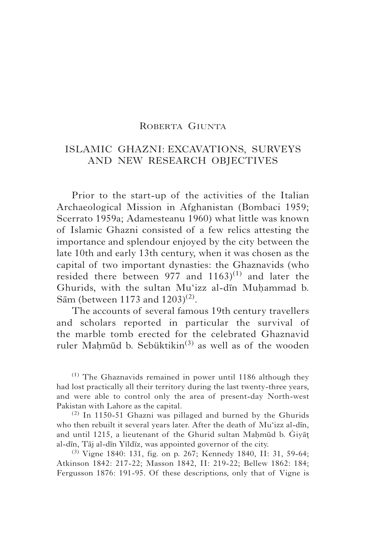#### ROBERTA GIUNTA

#### ISLAMIC GHAZNI: EXCAVATIONS, SURVEYS AND NEW RESEARCH OBJECTIVES

Prior to the start-up of the activities of the Italian Archaeological Mission in Afghanistan (Bombaci 1959; Scerrato 1959a; Adamesteanu 1960) what little was known of Islamic Ghazni consisted of a few relics attesting the importance and splendour enjoyed by the city between the late 10th and early 13th century, when it was chosen as the capital of two important dynasties: the Ghaznavids (who resided there between 977 and  $1163$ <sup>(1)</sup> and later the Ghurids, with the sultan Mu'izz al-dīn Muhammad b. Sām (between 1173 and 1203)<sup>(2)</sup>.

The accounts of several famous 19th century travellers and scholars reported in particular the survival of the marble tomb erected for the celebrated Ghaznavid ruler Mahmūd b. Sebüktikin $^{(3)}$  as well as of the wooden

 $(1)$  The Ghaznavids remained in power until 1186 although they had lost practically all their territory during the last twenty-three years, and were able to control only the area of present-day North-west Pakistan with Lahore as the capital.

 $(2)$  In 1150-51 Ghazni was pillaged and burned by the Ghurids who then rebuilt it several years later. After the death of Mu'izz al-dīn, and until 1215, a lieutenant of the Ghurid sultan Mahmūd b.  $\ddot{G}$  iyat al-dīn, Tāj al-dīn Yïldïz, was appointed governor of the city.

(3) Vigne 1840: 131, fig. on p. 267; Kennedy 1840, II: 31, 59-64; Atkinson 1842: 217-22; Masson 1842, II: 219-22; Bellew 1862: 184; Fergusson 1876: 191-95. Of these descriptions, only that of Vigne is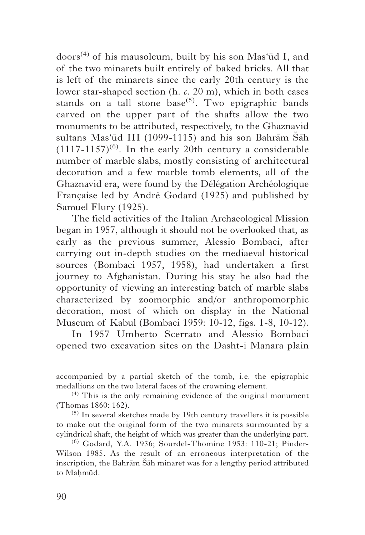$\frac{d\cos(4)}{dx}$  of his mausoleum, built by his son Mas'ud I, and of the two minarets built entirely of baked bricks. All that is left of the minarets since the early 20th century is the lower star-shaped section (h. *c.* 20 m), which in both cases stands on a tall stone base<sup>(5)</sup>. Two epigraphic bands carved on the upper part of the shafts allow the two monuments to be attributed, respectively, to the Ghaznavid sultans Mas'ūd III (1099-1115) and his son Bahram  $\tilde{S}$ ah  $(1117-1157)^{(6)}$ . In the early 20th century a considerable number of marble slabs, mostly consisting of architectural decoration and a few marble tomb elements, all of the Ghaznavid era, were found by the Délégation Archéologique Française led by André Godard (1925) and published by Samuel Flury (1925).

The field activities of the Italian Archaeological Mission began in 1957, although it should not be overlooked that, as early as the previous summer, Alessio Bombaci, after carrying out in-depth studies on the mediaeval historical sources (Bombaci 1957, 1958), had undertaken a first journey to Afghanistan. During his stay he also had the opportunity of viewing an interesting batch of marble slabs characterized by zoomorphic and/or anthropomorphic decoration, most of which on display in the National Museum of Kabul (Bombaci 1959: 10-12, figs. 1-8, 10-12).

In 1957 Umberto Scerrato and Alessio Bombaci opened two excavation sites on the Dasht-i Manara plain

accompanied by a partial sketch of the tomb, i.e. the epigraphic medallions on the two lateral faces of the crowning element.

(4) This is the only remaining evidence of the original monument (Thomas 1860: 162).

 $(5)$  In several sketches made by 19th century travellers it is possible to make out the original form of the two minarets surmounted by a cylindrical shaft, the height of which was greater than the underlying part.

(6) Godard, Y.A. 1936; Sourdel-Thomine 1953: 110-21; Pinder-Wilson 1985. As the result of an erroneous interpretation of the inscription, the Bahram Šah minaret was for a lengthy period attributed to Mahmūd.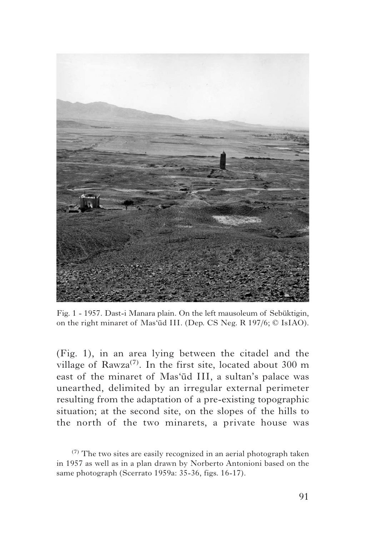

Fig. 1 - 1957. Dast-i Manara plain. On the left mausoleum of Sebüktigin, on the right minaret of Mas'ūd III. (Dep. CS Neg. R 197/6; © IsIAO).

(Fig. 1), in an area lying between the citadel and the village of Rawza<sup>(7)</sup>. In the first site, located about 300 m east of the minaret of Mas'ūd III, a sultan's palace was unearthed, delimited by an irregular external perimeter resulting from the adaptation of a pre-existing topographic situation; at the second site, on the slopes of the hills to the north of the two minarets, a private house was

(7) The two sites are easily recognized in an aerial photograph taken in 1957 as well as in a plan drawn by Norberto Antonioni based on the same photograph (Scerrato 1959a: 35-36, figs. 16-17).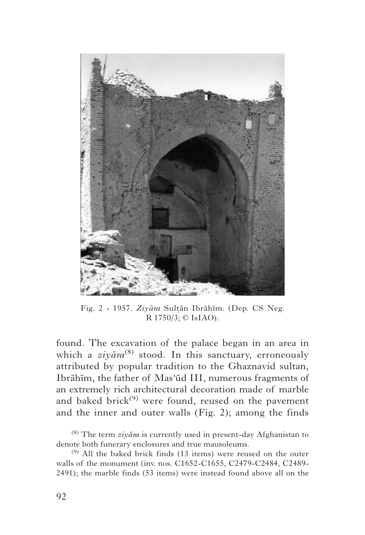

Fig. 2 - 1957. Ziyāra Sultān Ibrāhīm. (Dep. CS Neg. R 1750/3; © IsIAO).

found. The excavation of the palace began in an area in which a  $z \dot{v} \bar{a} r a^{(8)}$  stood. In this sanctuary, erroneously attributed by popular tradition to the Ghaznavid sultan, Ibrāhīm, the father of Mas'ūd III, numerous fragments of an extremely rich architectural decoration made of marble and baked brick $(9)$  were found, reused on the pavement and the inner and outer walls (Fig. 2); among the finds

 $(8)$  The term *ziyara* is currently used in present-day Afghanistan to denote both funerary enclosures and true mausoleums.

 $(9)$  All the baked brick finds (13 items) were reused on the outer walls of the monument (inv. nos. C1652-C1655, C2479-C2484, C2489- 2491); the marble finds (53 items) were instead found above all on the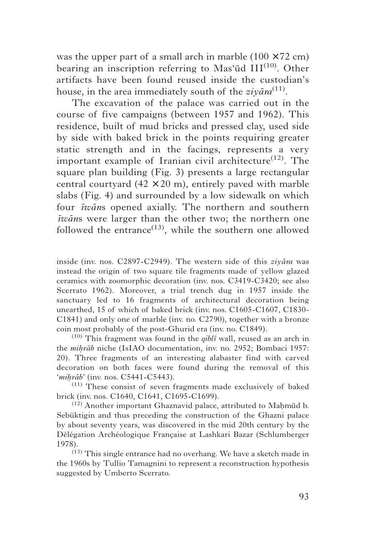was the upper part of a small arch in marble  $(100 \times 72 \text{ cm})$ bearing an inscription referring to Mas'ūd  $III^{(10)}$ . Other artifacts have been found reused inside the custodian's house, in the area immediately south of the  $\vec{z}$ *i* $\vec{a}$ *ra*<sup>(11)</sup>.

The excavation of the palace was carried out in the course of five campaigns (between 1957 and 1962). This residence, built of mud bricks and pressed clay, used side by side with baked brick in the points requiring greater static strength and in the facings, represents a very important example of Iranian civil architecture<sup> $(12)$ </sup>. The square plan building (Fig. 3) presents a large rectangular central courtyard  $(42 \times 20 \text{ m})$ , entirely paved with marble slabs (Fig. 4) and surrounded by a low sidewalk on which four *iwan*s opened axially. The northern and southern *zwan*s were larger than the other two; the northern one followed the entrance<sup> $(13)$ </sup>, while the southern one allowed

inside (inv. nos. C2897-C2949). The western side of this *ziyara* was instead the origin of two square tile fragments made of yellow glazed ceramics with zoomorphic decoration (inv. nos. C3419-C3420; see also Scerrato 1962). Moreover, a trial trench dug in 1957 inside the sanctuary led to 16 fragments of architectural decoration being unearthed, 15 of which of baked brick (inv. nos. C1605-C1607, C1830- C1841) and only one of marble (inv. no. C2790), together with a bronze coin most probably of the post-Ghurid era (inv. no. C1849).

 $(10)$  This fragment was found in the *qibl*<sup> $i$ </sup> wall, reused as an arch in the *mihrab* niche (IsIAO documentation, inv. no. 2952; Bombaci 1957: 20). Three fragments of an interesting alabaster find with carved decoration on both faces were found during the removal of this *'mihrāb'* (inv. nos. C5441-C5443).

(11) These consist of seven fragments made exclusively of baked brick (inv. nos. C1640, C1641, C1695-C1699).

 $(12)$  Another important Ghaznavid palace, attributed to Mahmud b. Sebüktigin and thus preceding the construction of the Ghazni palace by about seventy years, was discovered in the mid 20th century by the Délégation Archéologique Française at Lashkari Bazar (Schlumberger 1978).

(13) This single entrance had no overhang. We have a sketch made in the 1960s by Tullio Tamagnini to represent a reconstruction hypothesis suggested by Umberto Scerrato.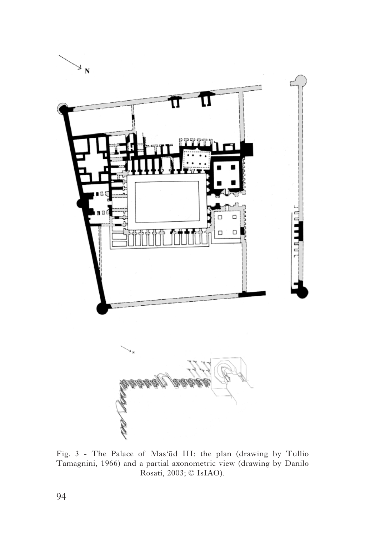

Fig. 3 - The Palace of Mas'ūd III: the plan (drawing by Tullio Tamagnini, 1966) and a partial axonometric view (drawing by Danilo Rosati, 2003; © IsIAO).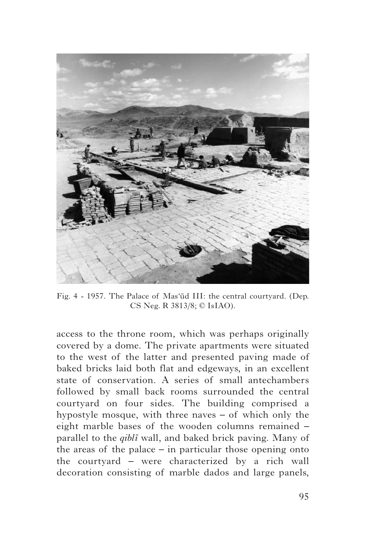

Fig. 4 - 1957. The Palace of Mas'ūd III: the central courtyard. (Dep. CS Neg. R 3813/8; © IsIAO).

access to the throne room, which was perhaps originally covered by a dome. The private apartments were situated to the west of the latter and presented paving made of baked bricks laid both flat and edgeways, in an excellent state of conservation. A series of small antechambers followed by small back rooms surrounded the central courtyard on four sides. The building comprised a hypostyle mosque, with three naves – of which only the eight marble bases of the wooden columns remained – parallel to the *qibl*<sup> $\bar{i}$ </sup> wall, and baked brick paving. Many of the areas of the palace – in particular those opening onto the courtyard – were characterized by a rich wall decoration consisting of marble dados and large panels,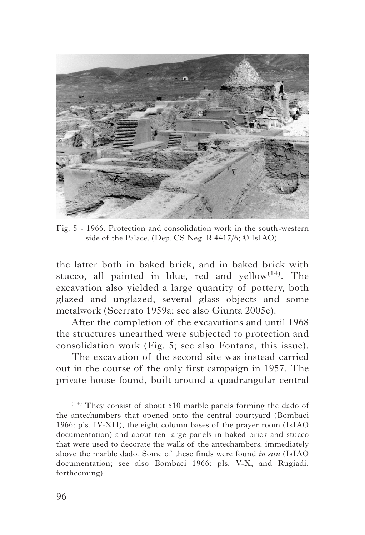

Fig. 5 - 1966. Protection and consolidation work in the south-western side of the Palace. (Dep. CS Neg. R 4417/6; © IsIAO).

the latter both in baked brick, and in baked brick with stucco, all painted in blue, red and yellow $(14)$ . The excavation also yielded a large quantity of pottery, both glazed and unglazed, several glass objects and some metalwork (Scerrato 1959a; see also Giunta 2005c).

After the completion of the excavations and until 1968 the structures unearthed were subjected to protection and consolidation work (Fig. 5; see also Fontana, this issue).

The excavation of the second site was instead carried out in the course of the only first campaign in 1957. The private house found, built around a quadrangular central

 $(14)$  They consist of about 510 marble panels forming the dado of the antechambers that opened onto the central courtyard (Bombaci 1966: pls. IV-XII), the eight column bases of the prayer room (IsIAO documentation) and about ten large panels in baked brick and stucco that were used to decorate the walls of the antechambers, immediately above the marble dado. Some of these finds were found *in situ* (IsIAO documentation; see also Bombaci 1966: pls. V-X, and Rugiadi, forthcoming).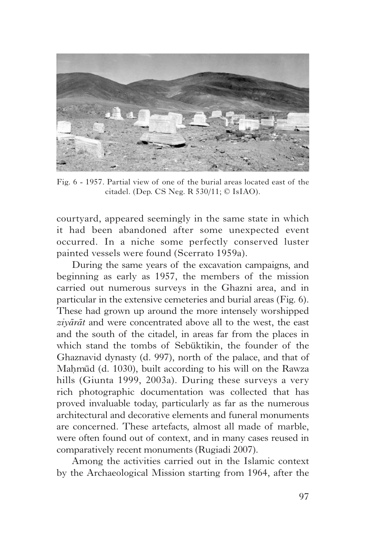

Fig. 6 - 1957. Partial view of one of the burial areas located east of the citadel. (Dep. CS Neg. R 530/11; © IsIAO).

courtyard, appeared seemingly in the same state in which it had been abandoned after some unexpected event occurred. In a niche some perfectly conserved luster painted vessels were found (Scerrato 1959a).

During the same years of the excavation campaigns, and beginning as early as 1957, the members of the mission carried out numerous surveys in the Ghazni area, and in particular in the extensive cemeteries and burial areas (Fig. 6). These had grown up around the more intensely worshipped *ziyārāt* and were concentrated above all to the west, the east and the south of the citadel, in areas far from the places in which stand the tombs of Sebüktikin, the founder of the Ghaznavid dynasty (d. 997), north of the palace, and that of Mahmūd (d. 1030), built according to his will on the Rawza hills (Giunta 1999, 2003a). During these surveys a very rich photographic documentation was collected that has proved invaluable today, particularly as far as the numerous architectural and decorative elements and funeral monuments are concerned. These artefacts, almost all made of marble, were often found out of context, and in many cases reused in comparatively recent monuments (Rugiadi 2007).

Among the activities carried out in the Islamic context by the Archaeological Mission starting from 1964, after the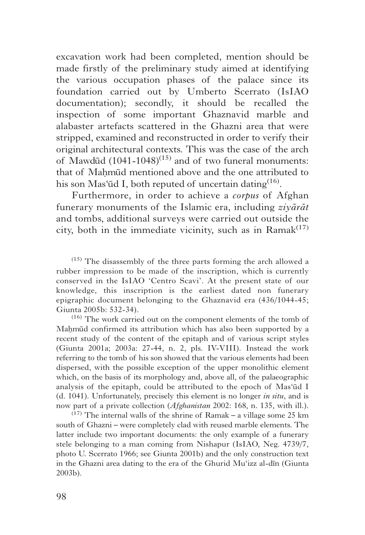excavation work had been completed, mention should be made firstly of the preliminary study aimed at identifying the various occupation phases of the palace since its foundation carried out by Umberto Scerrato (IsIAO documentation); secondly, it should be recalled the inspection of some important Ghaznavid marble and alabaster artefacts scattered in the Ghazni area that were stripped, examined and reconstructed in order to verify their original architectural contexts. This was the case of the arch of Mawdūd  $(1041-1048)^{(15)}$  and of two funeral monuments: that of Mahmūd mentioned above and the one attributed to his son Mas'ūd I, both reputed of uncertain dating<sup>(16)</sup>.

Furthermore, in order to achieve a *corpus* of Afghan funerary monuments of the Islamic era, including *ziyarat* and tombs, additional surveys were carried out outside the city, both in the immediate vicinity, such as in  $Ramak^{(17)}$ 

(15) The disassembly of the three parts forming the arch allowed a rubber impression to be made of the inscription, which is currently conserved in the IsIAO 'Centro Scavi'. At the present state of our knowledge, this inscription is the earliest dated non funerary epigraphic document belonging to the Ghaznavid era (436/1044-45; Giunta 2005b: 532-34).

(16) The work carried out on the component elements of the tomb of Mahmūd confirmed its attribution which has also been supported by a recent study of the content of the epitaph and of various script styles (Giunta 2001a; 2003a: 27-44, n. 2, pls. IV-VIII). Instead the work referring to the tomb of his son showed that the various elements had been dispersed, with the possible exception of the upper monolithic element which, on the basis of its morphology and, above all, of the palaeographic analysis of the epitaph, could be attributed to the epoch of Mas'ūd I (d. 1041). Unfortunately, precisely this element is no longer *in situ*, and is now part of a private collection (*Afghanistan* 2002: 168, n. 135, with ill.).

 $(17)$  The internal walls of the shrine of Ramak – a village some 25 km south of Ghazni – were completely clad with reused marble elements. The latter include two important documents: the only example of a funerary stele belonging to a man coming from Nishapur (IsIAO, Neg. 4739/7, photo U. Scerrato 1966; see Giunta 2001b) and the only construction text in the Ghazni area dating to the era of the Ghurid Mu'izz al-din (Giunta 2003b).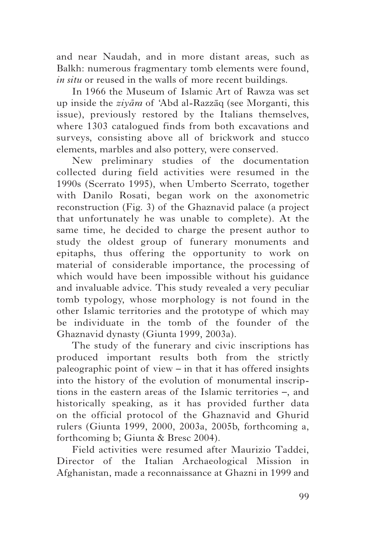and near Naudah, and in more distant areas, such as Balkh: numerous fragmentary tomb elements were found, *in situ* or reused in the walls of more recent buildings.

In 1966 the Museum of Islamic Art of Rawza was set up inside the *zivāra* of 'Abd al-Razzāq (see Morganti, this issue), previously restored by the Italians themselves, where 1303 catalogued finds from both excavations and surveys, consisting above all of brickwork and stucco elements, marbles and also pottery, were conserved.

New preliminary studies of the documentation collected during field activities were resumed in the 1990s (Scerrato 1995), when Umberto Scerrato, together with Danilo Rosati, began work on the axonometric reconstruction (Fig. 3) of the Ghaznavid palace (a project that unfortunately he was unable to complete). At the same time, he decided to charge the present author to study the oldest group of funerary monuments and epitaphs, thus offering the opportunity to work on material of considerable importance, the processing of which would have been impossible without his guidance and invaluable advice. This study revealed a very peculiar tomb typology, whose morphology is not found in the other Islamic territories and the prototype of which may be individuate in the tomb of the founder of the Ghaznavid dynasty (Giunta 1999, 2003a).

The study of the funerary and civic inscriptions has produced important results both from the strictly paleographic point of view – in that it has offered insights into the history of the evolution of monumental inscriptions in the eastern areas of the Islamic territories –, and historically speaking, as it has provided further data on the official protocol of the Ghaznavid and Ghurid rulers (Giunta 1999, 2000, 2003a, 2005b, forthcoming a, forthcoming b; Giunta & Bresc 2004).

Field activities were resumed after Maurizio Taddei, Director of the Italian Archaeological Mission in Afghanistan, made a reconnaissance at Ghazni in 1999 and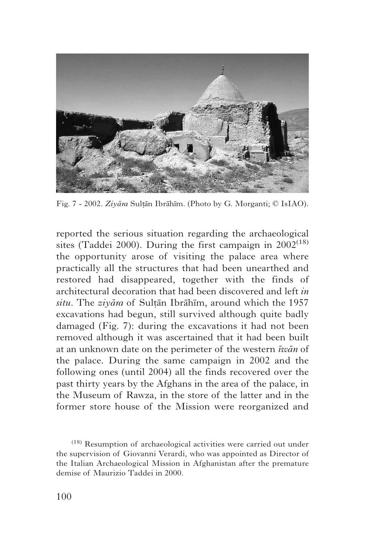

Fig. 7 - 2002. *Ziyāra* Sultān Ibrāhīm. (Photo by G. Morganti; © IsIAO).

reported the serious situation regarding the archaeological sites (Taddei 2000). During the first campaign in  $2002^{(18)}$ the opportunity arose of visiting the palace area where practically all the structures that had been unearthed and restored had disappeared, together with the finds of architectural decoration that had been discovered and left *in situ*. The *ziyara* of Sultan Ibrahim, around which the 1957 excavations had begun, still survived although quite badly damaged (Fig. 7): during the excavations it had not been removed although it was ascertained that it had been built at an unknown date on the perimeter of the western *wan* of the palace. During the same campaign in 2002 and the following ones (until 2004) all the finds recovered over the past thirty years by the Afghans in the area of the palace, in the Museum of Rawza, in the store of the latter and in the former store house of the Mission were reorganized and

(18) Resumption of archaeological activities were carried out under the supervision of Giovanni Verardi, who was appointed as Director of the Italian Archaeological Mission in Afghanistan after the premature demise of Maurizio Taddei in 2000.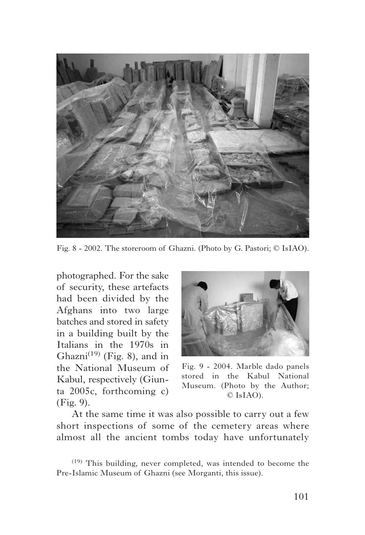

Fig. 8 - 2002. The storeroom of Ghazni. (Photo by G. Pastori; © IsIAO).

photographed. For the sake of security, these artefacts had been divided by the Afghans into two large batches and stored in safety in a building built by the Italians in the 1970s in Ghazni<sup>(19)</sup> (Fig. 8), and in the National Museum of Kabul, respectively (Giunta 2005c, forthcoming c) (Fig. 9).



Fig. 9 - 2004. Marble dado panels stored in the Kabul National Museum. (Photo by the Author; © IsIAO).

At the same time it was also possible to carry out a few short inspections of some of the cemetery areas where almost all the ancient tombs today have unfortunately

<sup>(19)</sup> This building, never completed, was intended to become the Pre-Islamic Museum of Ghazni (see Morganti, this issue).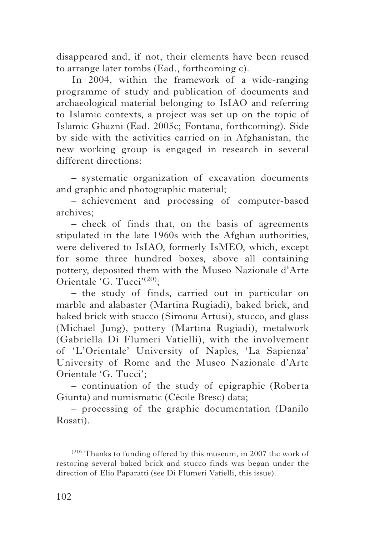disappeared and, if not, their elements have been reused to arrange later tombs (Ead., forthcoming c).

In 2004, within the framework of a wide-ranging programme of study and publication of documents and archaeological material belonging to IsIAO and referring to Islamic contexts, a project was set up on the topic of Islamic Ghazni (Ead. 2005c; Fontana, forthcoming). Side by side with the activities carried on in Afghanistan, the new working group is engaged in research in several different directions:

– systematic organization of excavation documents and graphic and photographic material;

– achievement and processing of computer-based archives;

– check of finds that, on the basis of agreements stipulated in the late 1960s with the Afghan authorities, were delivered to IsIAO, formerly IsMEO, which, except for some three hundred boxes, above all containing pottery, deposited them with the Museo Nazionale d'Arte Orientale 'G. Tucci'<sup>(20)</sup>;

– the study of finds, carried out in particular on marble and alabaster (Martina Rugiadi), baked brick, and baked brick with stucco (Simona Artusi), stucco, and glass (Michael Jung), pottery (Martina Rugiadi), metalwork (Gabriella Di Flumeri Vatielli), with the involvement of 'L'Orientale' University of Naples, 'La Sapienza' University of Rome and the Museo Nazionale d'Arte Orientale 'G. Tucci';

– continuation of the study of epigraphic (Roberta Giunta) and numismatic (Cécile Bresc) data;

– processing of the graphic documentation (Danilo Rosati).

 $(20)$  Thanks to funding offered by this museum, in 2007 the work of restoring several baked brick and stucco finds was began under the direction of Elio Paparatti (see Di Flumeri Vatielli, this issue).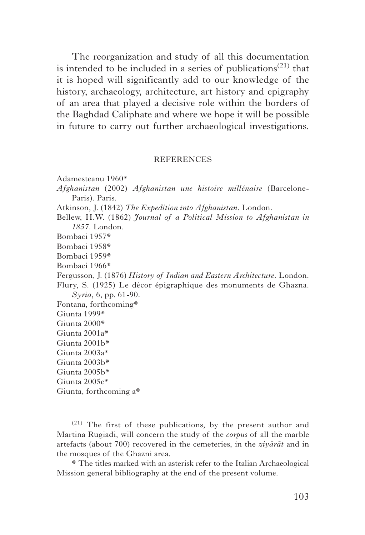The reorganization and study of all this documentation is intended to be included in a series of publications<sup> $(21)$ </sup> that it is hoped will significantly add to our knowledge of the history, archaeology, architecture, art history and epigraphy of an area that played a decisive role within the borders of the Baghdad Caliphate and where we hope it will be possible in future to carry out further archaeological investigations.

#### **REFERENCES**

Adamesteanu 1960\*

- *Afghanistan* (2002) *Afghanistan une histoire millénaire* (Barcelone-Paris). Paris.
- Atkinson, J. (1842) *The Expedition into Afghanistan*. London.
- Bellew, H.W. (1862) *Journal of a Political Mission to Afghanistan in 1857*. London.
- Bombaci 1957\*
- Bombaci 1958\*
- Bombaci 1959\*
- Bombaci 1966\*

Fergusson, J. (1876) *History of Indian and Eastern Architecture*. London. Flury, S. (1925) Le décor épigraphique des monuments de Ghazna.

*Syria*, 6, pp. 61-90.

- Fontana, forthcoming\* Giunta 1999\*
- Giunta 2000\*
- Giunta 2001a\*
- Giunta 2001b\*
- Giunta 2003a\*
- Giunta 2003b\*
- Giunta 2005b\*
- Giunta 2005c\*
- Giunta, forthcoming a\*

(21) The first of these publications, by the present author and Martina Rugiadi, will concern the study of the *corpus* of all the marble artefacts (about 700) recovered in the cemeteries, in the  $ziv\bar{a}r\bar{a}t$  and in the mosques of the Ghazni area.

\* The titles marked with an asterisk refer to the Italian Archaeological Mission general bibliography at the end of the present volume.